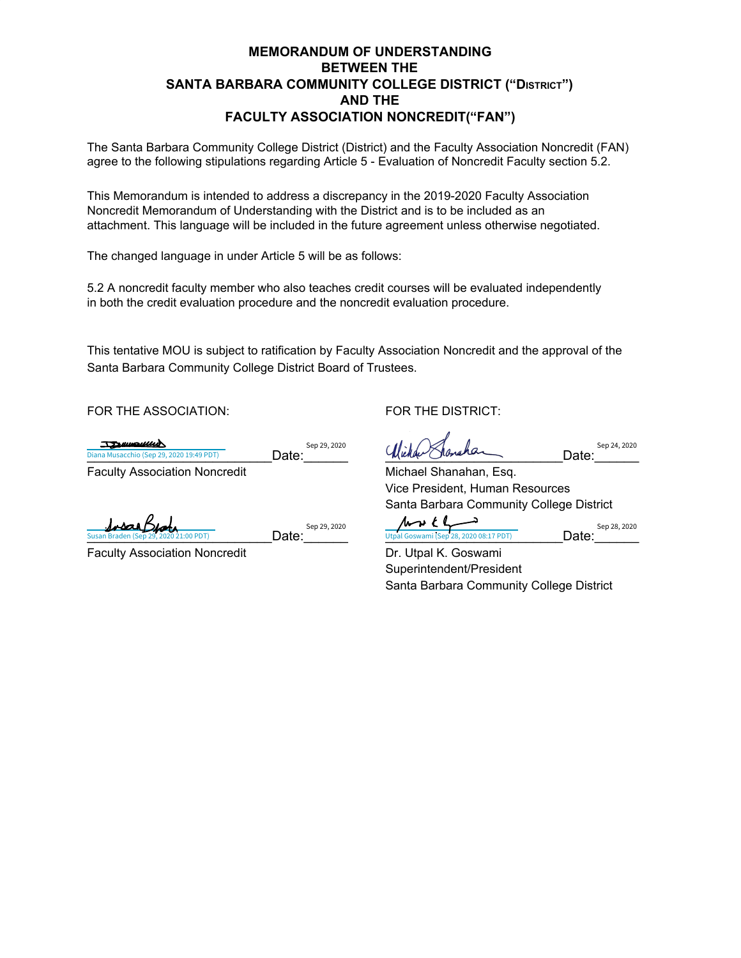## **MEMORANDUM OF UNDERSTANDING BETWEEN THE SANTA BARBARA COMMUNITY COLLEGE DISTRICT ("DISTRICT") AND THE FACULTY ASSOCIATION NONCREDIT("FAN")**

The Santa Barbara Community College District (District) and the Faculty Association Noncredit (FAN) agree to the following stipulations regarding Article 5 - Evaluation of Noncredit Faculty section 5.2.

This Memorandum is intended to address a discrepancy in the 2019-2020 Faculty Association Noncredit Memorandum of Understanding with the District and is to be included as an attachment. This language will be included in the future agreement unless otherwise negotiated.

The changed language in under Article 5 will be as follows:

5.2 A noncredit faculty member who also teaches credit courses will be evaluated independently in both the credit evaluation procedure and the noncredit evaluation procedure.

This tentative MOU is subject to ratification by Faculty Association Noncredit and the approval of the Santa Barbara Community College District Board of Trustees.

FOR THE ASSOCIATION: FOR THE DISTRICT:

TENIMOULLED

Sep 29, 2020

Faculty Association Noncredit Michael Shanahan, Esq.

Sep 29, 2020

Faculty Association Noncredit **Dr. Utpal K. Goswami** 

Susan Braden (Sep 29, 2020 21:00 PDT)

losar Bu

 $\frac{D}{D}$ Diana Musacchio (Sep 29, 2020 19:49 PDT) **Date: Date: Date: Date: Date: Date: Date: Date: Date: Date: Date: Date: Date: Date: Date: Date: Date: Date: Date: Date: Date: Da** 

Sep 24, 2020

Vice President, Human Resources Santa Barbara Community College District

Susan Braden (Sep 29, 2020 21:00 PDT)  $\overline{Date:}$   $\overline{Date:}$   $\overline{U}$  Utpal Goswami (Sep 28, 2020 08:17 PDT)  $\overline{D}$ 

Sep 28, 2020

Superintendent/President Santa Barbara Community College District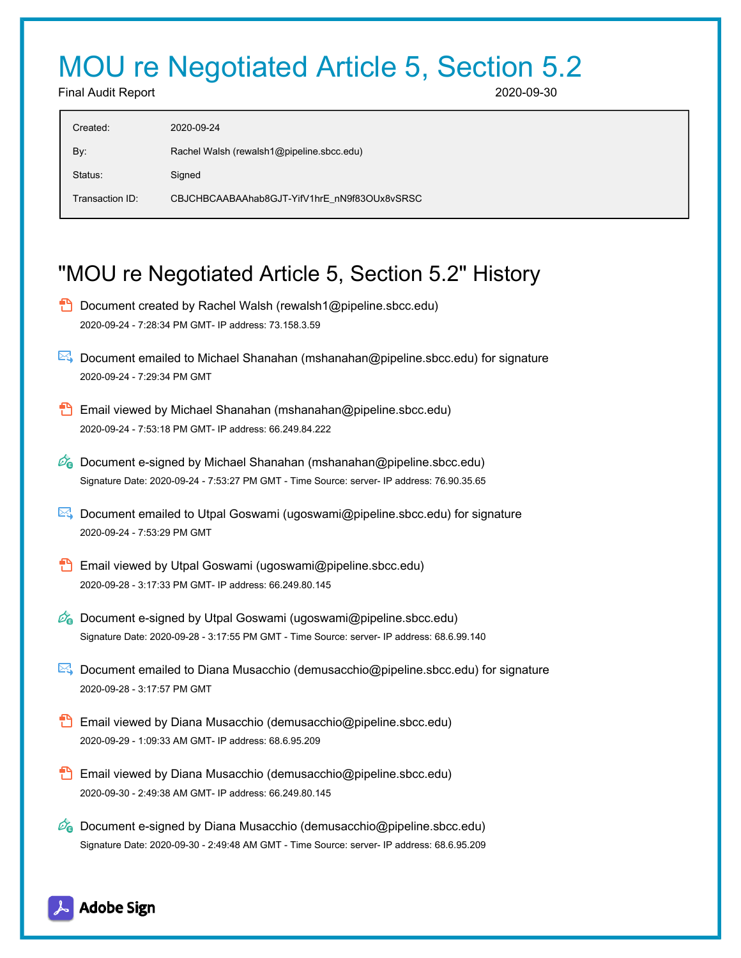## MOU re Negotiated Article 5, Section 5.2

Final Audit Report 2020-09-30

| Created:        | 2020-09-24                                   |
|-----------------|----------------------------------------------|
| By:             | Rachel Walsh (rewalsh1@pipeline.sbcc.edu)    |
| Status:         | Signed                                       |
| Transaction ID: | CBJCHBCAABAAhab8GJT-YifV1hrE nN9f83OUx8vSRSC |
|                 |                                              |

## "MOU re Negotiated Article 5, Section 5.2" History

- **D** Document created by Rachel Walsh (rewalsh1@pipeline.sbcc.edu) 2020-09-24 - 7:28:34 PM GMT- IP address: 73.158.3.59
- Document emailed to Michael Shanahan (mshanahan@pipeline.sbcc.edu) for signature 2020-09-24 - 7:29:34 PM GMT
- Email viewed by Michael Shanahan (mshanahan@pipeline.sbcc.edu) 2020-09-24 - 7:53:18 PM GMT- IP address: 66.249.84.222
- $\mathcal{O}_0$  Document e-signed by Michael Shanahan (mshanahan@pipeline.sbcc.edu) Signature Date: 2020-09-24 - 7:53:27 PM GMT - Time Source: server- IP address: 76.90.35.65
- Document emailed to Utpal Goswami (ugoswami@pipeline.sbcc.edu) for signature 2020-09-24 - 7:53:29 PM GMT
- **Email viewed by Utpal Goswami (ugoswami@pipeline.sbcc.edu)** 2020-09-28 - 3:17:33 PM GMT- IP address: 66.249.80.145
- $\mathscr{O}_0$  Document e-signed by Utpal Goswami (ugoswami@pipeline.sbcc.edu) Signature Date: 2020-09-28 - 3:17:55 PM GMT - Time Source: server- IP address: 68.6.99.140
- Document emailed to Diana Musacchio (demusacchio@pipeline.sbcc.edu) for signature 2020-09-28 - 3:17:57 PM GMT
- Email viewed by Diana Musacchio (demusacchio@pipeline.sbcc.edu) 2020-09-29 - 1:09:33 AM GMT- IP address: 68.6.95.209
- Email viewed by Diana Musacchio (demusacchio@pipeline.sbcc.edu) 2020-09-30 - 2:49:38 AM GMT- IP address: 66.249.80.145
- $\mathcal{O}_0$  Document e-signed by Diana Musacchio (demusacchio@pipeline.sbcc.edu) Signature Date: 2020-09-30 - 2:49:48 AM GMT - Time Source: server- IP address: 68.6.95.209

## Adobe Sign